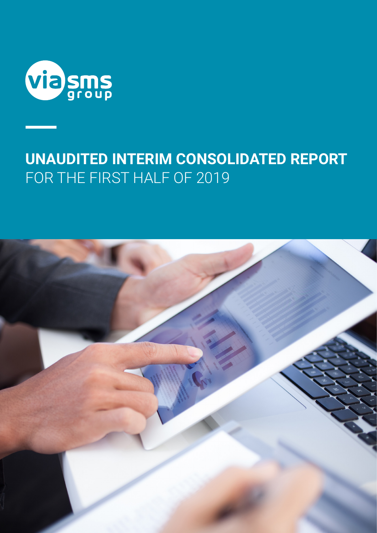

# **UNAUDITED INTERIM CONSOLIDATED REPORT**  FOR THE FIRST HALF OF 2019

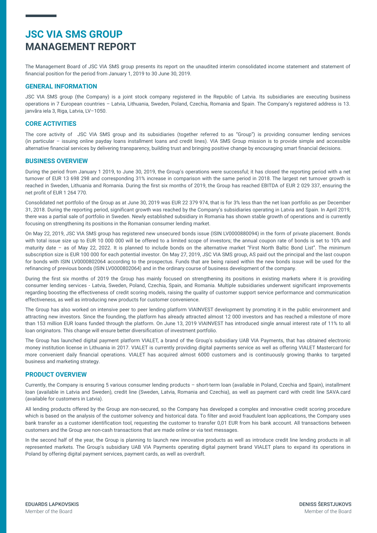## **JSC VIA SMS GROUP MANAGEMENT REPORT**

The Management Board of JSC VIA SMS group presents its report on the unaudited interim consolidated income statement and statement of financial position for the period from January 1, 2019 to 30 June 30, 2019.

#### **GENERAL INFORMATION**

JSC VIA SMS group (the Company) is a joint stock company registered in the Republic of Latvia. Its subsidiaries are executing business operations in 7 European countries – Latvia, Lithuania, Sweden, Poland, Czechia, Romania and Spain. The Company's registered address is 13. janvāra iela 3, Riga, Latvia, LV–1050.

#### **CORE ACTIVITIES**

The core activity of JSC VIA SMS group and its subsidiaries (together referred to as "Group") is providing consumer lending services (in particular – issuing online payday loans installment loans and credit lines). VIA SMS Group mission is to provide simple and accessible alternative financial services by delivering transparency, building trust and bringing positive change by encouraging smart financial decisions.

#### **BUSINESS OVERVIEW**

During the period from January 1 2019, to June 30, 2019, the Group's operations were successful; it has closed the reporting period with a net turnover of EUR 13 698 298 and corresponding 31% increase in comparison with the same period in 2018. The largest net turnover growth is reached in Sweden, Lithuania and Romania. During the first six months of 2019, the Group has reached EBITDA of EUR 2 029 337, ensuring the net profit of EUR 1 264 770.

Consolidated net portfolio of the Group as at June 30, 2019 was EUR 22 379 974, that is for 3% less than the net loan portfolio as per December 31, 2018. During the reporting period, significant growth was reached by the Company's subsidiaries operating in Latvia and Spain. In April 2019, there was a partial sale of portfolio in Sweden. Newly established subsidiary in Romania has shown stable growth of operations and is currently focusing on strengthening its positions in the Romanian consumer lending market.

On May 22, 2019, JSC VIA SMS group has registered new unsecured bonds issue (ISIN LV0000880094) in the form of private placement. Bonds with total issue size up to EUR 10 000 000 will be offered to a limited scope of investors; the annual coupon rate of bonds is set to 10% and maturity date – as of May 22, 2022. It is planned to include bonds on the alternative market "First North Baltic Bond List". The minimum subscription size is EUR 100 000 for each potential investor. On May 27, 2019, JSC VIA SMS group, AS paid out the principal and the last coupon for bonds with ISIN LV0000802064 according to the prospectus. Funds that are being raised within the new bonds issue will be used for the refinancing of previous bonds (ISIN LV0000802064) and in the ordinary course of business development of the company.

During the first six months of 2019 the Group has mainly focused on strengthening its positions in existing markets where it is providing consumer lending services - Latvia, Sweden, Poland, Czechia, Spain, and Romania. Multiple subsidiaries underwent significant improvements regarding boosting the effectiveness of credit scoring models, raising the quality of customer support service performance and communication effectiveness, as well as introducing new products for customer convenience.

The Group has also worked on intensive peer to peer lending platform VIAINVEST development by promoting it in the public environment and attracting new investors. Since the founding, the platform has already attracted almost 12 000 investors and has reached a milestone of more than 153 million EUR loans funded through the platform. On June 13, 2019 VIAINVEST has introduced single annual interest rate of 11% to all loan originators. This change will ensure better diversification of investment portfolio.

The Group has launched digital payment platform VIALET, a brand of the Group's subsidiary UAB VIA Payments, that has obtained electronic money institution license in Lithuania in 2017. VIALET is currently providing digital payments service as well as offering VIALET Mastercard for more convenient daily financial operations. VIALET has acquired almost 6000 customers and is continuously growing thanks to targeted business and marketing strategy.

#### **PRODUCT OVERVIEW**

Currently, the Company is ensuring 5 various consumer lending products – short-term loan (available in Poland, Czechia and Spain), installment loan (available in Latvia and Sweden), credit line (Sweden, Latvia, Romania and Czechia), as well as payment card with credit line SAVA.card (available for customers in Latvia).

All lending products offered by the Group are non-secured, so the Company has developed a complex and innovative credit scoring procedure which is based on the analysis of the customer solvency and historical data. To filter and avoid fraudulent loan applications, the Company uses bank transfer as a customer identification tool, requesting the customer to transfer 0,01 EUR from his bank account. All transactions between customers and the Group are non-cash transactions that are made online or via text messages.

In the second half of the year, the Group is planning to launch new innovative products as well as introduce credit line lending products in all represented markets. The Group's subsidiary UAB VIA Payments operating digital payment brand VIALET plans to expand its operations in Poland by offering digital payment services, payment cards, as well as overdraft.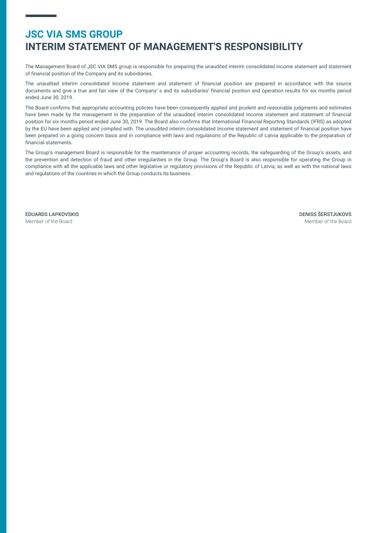## **JSC VIA SMS GROUP INTERIM STATEMENT OF MANAGEMENT'S RESPONSIBILITY**

The Management Board of JSC VIA SMS group is responsible for preparing the unaudited interim consolidated income statement and statement of financial position of the Company and its subsidiaries.

The unaudited interim consolidated Income statement and statement of financial position are prepared in accordance with the source documents and give a true and fair view of the Company' s and its subsidiaries' financial position and operation results for six months period ended June 30, 2019.

The Board confirms that appropriate accounting policies have been consequently applied and prudent and reasonable judgments and estimates have been made by the management in the preparation of the unaudited interim consolidated Income statement and statement of financial position for six months period ended June 30, 2019. The Board also confirms that International Financial Reporting Standards (IFRS) as adopted by the EU have been applied and complied with. The unaudited interim consolidated Income statement and statement of financial position have been prepared on a going concern basis and in compliance with laws and regulations of the Republic of Latvia applicable to the preparation of financial statements.

The Group's management Board is responsible for the maintenance of proper accounting records, the safeguarding of the Group's assets, and the prevention and detection of fraud and other irregularities in the Group. The Group's Board is also responsible for operating the Group in compliance with all the applicable laws and other legislative or regulatory provisions of the Republic of Latvia, as well as with the national laws and regulations of the countries in which the Group conducts its business.

EDUARDS LAPKOVSKIS Member of the Board

DENISS ŠERSTJUKOVS Member of the Board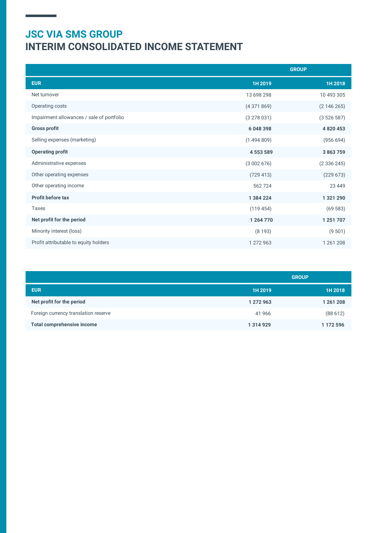# **JSC VIA SMS GROUP INTERIM CONSOLIDATED INCOME STATEMENT**

|                                           | <b>GROUP</b>  |             |
|-------------------------------------------|---------------|-------------|
| <b>EUR</b>                                | 1H 2019       | 1H 2018     |
| Net turnover                              | 13 698 298    | 10 493 305  |
| Operating costs                           | (4371869)     | (2146265)   |
| Impairment allowances / sale of portfolio | (3278031)     | (3526587)   |
| <b>Gross profit</b>                       | 6048398       | 4 8 20 4 53 |
| Selling expenses (marketing)              | (1494809)     | (956694)    |
| <b>Operating profit</b>                   | 4 5 5 3 5 8 9 | 3 863 759   |
| Administrative expenses                   | (3002676)     | (2336245)   |
| Other operating expenses                  | (729 413)     | (229 673)   |
| Other operating income                    | 562724        | 23 4 4 9    |
| <b>Profit before tax</b>                  | 1 384 224     | 1 321 290   |
| Taxes                                     | (119454)      | (69583)     |
| Net profit for the period                 | 1 264 770     | 1 251 707   |
| Minority interest (loss)                  | (8193)        | (9501)      |
| Profit attributable to equity holders     | 1 272 963     | 1 261 208   |

|                                      | <b>GROUP</b> |           |
|--------------------------------------|--------------|-----------|
| <b>EUR</b>                           | 1H 2019      | 1H 2018   |
| Net profit for the period            | 1 272 963    | 1 261 208 |
| Foreign currency translation reserve | 41 966       | (88612)   |
| <b>Total comprehensive income</b>    | 1 314 929    | 1 172 596 |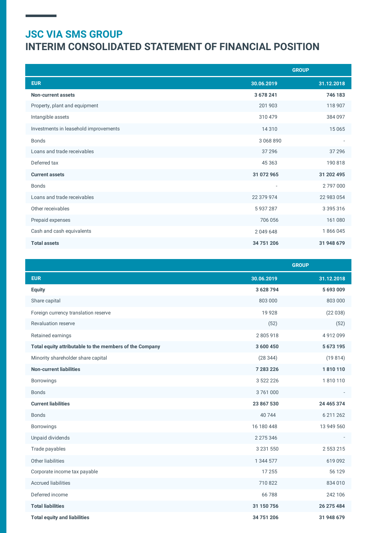# **JSC VIA SMS GROUP INTERIM CONSOLIDATED STATEMENT OF FINANCIAL POSITION**

|                                       | <b>GROUP</b>             |               |
|---------------------------------------|--------------------------|---------------|
| <b>EUR</b>                            | 30.06.2019               | 31.12.2018    |
| Non-current assets                    | 3 678 241                | 746 183       |
| Property, plant and equipment         | 201 903                  | 118 907       |
| Intangible assets                     | 310 479                  | 384 097       |
| Investments in leasehold improvements | 14 3 10                  | 15 0 65       |
| <b>Bonds</b>                          | 3 068 890                |               |
| Loans and trade receivables           | 37 29 6                  | 37 29 6       |
| Deferred tax                          | 45 3 63                  | 190 818       |
| <b>Current assets</b>                 | 31 072 965               | 31 202 495    |
| <b>Bonds</b>                          | $\overline{\phantom{0}}$ | 2797000       |
| Loans and trade receivables           | 22 379 974               | 22 983 054    |
| Other receivables                     | 5937287                  | 3 3 9 5 3 1 6 |
| Prepaid expenses                      | 706 056                  | 161 080       |
| Cash and cash equivalents             | 2049648                  | 1866045       |
| <b>Total assets</b>                   | 34 751 206               | 31 948 679    |

|                                                         | <b>GROUP</b>  |            |
|---------------------------------------------------------|---------------|------------|
| <b>EUR</b>                                              | 30.06.2019    | 31.12.2018 |
| <b>Equity</b>                                           | 3 628 794     | 5693009    |
| Share capital                                           | 803 000       | 803 000    |
| Foreign currency translation reserve                    | 19 9 28       | (22038)    |
| <b>Revaluation reserve</b>                              | (52)          | (52)       |
| Retained earnings                                       | 2805918       | 4912099    |
| Total equity attributable to the members of the Company | 3 600 450     | 5 673 195  |
| Minority shareholder share capital                      | (28344)       | (19814)    |
| <b>Non-current liabilities</b>                          | 7 283 226     | 1810110    |
| Borrowings                                              | 3 522 226     | 1810110    |
| <b>Bonds</b>                                            | 3761000       |            |
| <b>Current liabilities</b>                              | 23 867 530    | 24 465 374 |
| <b>Bonds</b>                                            | 40 744        | 6 211 262  |
| Borrowings                                              | 16 180 448    | 13 949 560 |
| Unpaid dividends                                        | 2 275 346     |            |
| Trade payables                                          | 3 2 3 1 5 5 0 | 2 553 215  |
| Other liabilities                                       | 1 344 577     | 619 092    |
| Corporate income tax payable                            | 17 255        | 56 129     |
| <b>Accrued liabilities</b>                              | 710822        | 834 010    |
| Deferred income                                         | 66788         | 242 106    |
| <b>Total liabilities</b>                                | 31 150 756    | 26 275 484 |
| <b>Total equity and liabilities</b>                     | 34 751 206    | 31 948 679 |